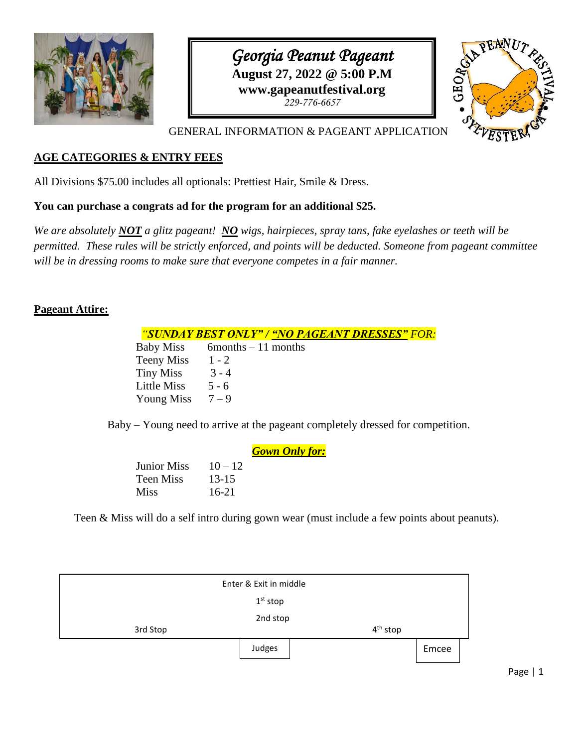

*Georgia Peanut Pageant* **August 27, 2022 @ 5:00 P.M www.gapeanutfestival.org** *229-776-6657*



GENERAL INFORMATION & PAGEANT APPLICATION

#### **AGE CATEGORIES & ENTRY FEES**

All Divisions \$75.00 includes all optionals: Prettiest Hair, Smile & Dress.

#### **You can purchase a congrats ad for the program for an additional \$25.**

*We are absolutely NOT a glitz pageant! NO wigs, hairpieces, spray tans, fake eyelashes or teeth will be permitted. These rules will be strictly enforced, and points will be deducted. Someone from pageant committee will be in dressing rooms to make sure that everyone competes in a fair manner.*

#### **Pageant Attire:**

#### *"SUNDAY BEST ONLY" / "NO PAGEANT DRESSES" FOR:*

Baby Miss  $6$ months – 11 months Teeny Miss 1 - 2 Tiny Miss  $3 - 4$ Little Miss  $5 - 6$ Young Miss  $7 - 9$ 

Baby – Young need to arrive at the pageant completely dressed for competition.

|           | <b>Gown Only for:</b> |
|-----------|-----------------------|
| $10 - 12$ |                       |
| $13 - 15$ |                       |
| $16-21$   |                       |
|           |                       |

Teen & Miss will do a self intro during gown wear (must include a few points about peanuts).

|          | Enter & Exit in middle |            |       |
|----------|------------------------|------------|-------|
|          | $1st$ stop             |            |       |
| 3rd Stop | 2nd stop               | $4th$ stop |       |
|          | Judges                 |            | Emcee |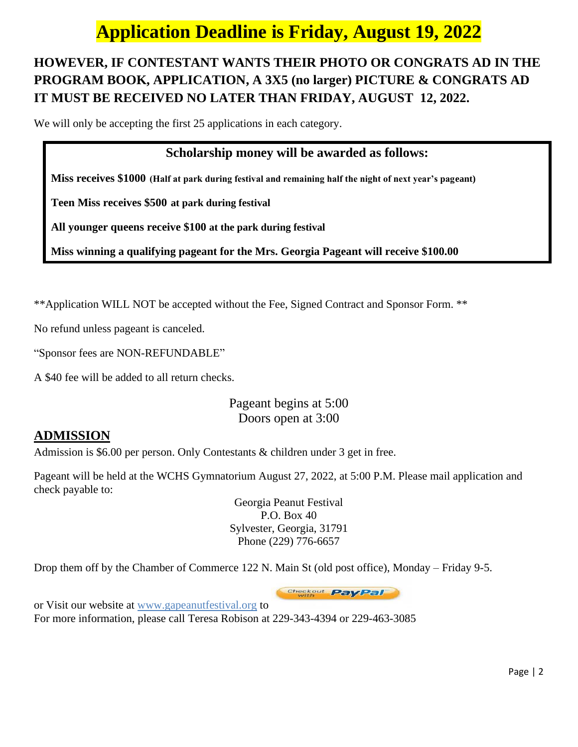# **Application Deadline is Friday, August 19, 2022**

## **HOWEVER, IF CONTESTANT WANTS THEIR PHOTO OR CONGRATS AD IN THE PROGRAM BOOK, APPLICATION, A 3X5 (no larger) PICTURE & CONGRATS AD IT MUST BE RECEIVED NO LATER THAN FRIDAY, AUGUST 12, 2022.**

We will only be accepting the first 25 applications in each category.

### **Scholarship money will be awarded as follows:**

**Miss receives \$1000 (Half at park during festival and remaining half the night of next year's pageant)**

**Teen Miss receives \$500 at park during festival**

**All younger queens receive \$100 at the park during festival**

**Miss winning a qualifying pageant for the Mrs. Georgia Pageant will receive \$100.00**

\*\*Application WILL NOT be accepted without the Fee, Signed Contract and Sponsor Form. \*\*

No refund unless pageant is canceled.

"Sponsor fees are NON-REFUNDABLE"

A \$40 fee will be added to all return checks.

Pageant begins at 5:00 Doors open at 3:00

### **ADMISSION**

Admission is \$6.00 per person. Only Contestants & children under 3 get in free.

Pageant will be held at the WCHS Gymnatorium August 27, 2022, at 5:00 P.M. Please mail application and check payable to:

> Georgia Peanut Festival P.O. Box 40 Sylvester, Georgia, 31791 Phone (229) 776-6657

Drop them off by the Chamber of Commerce 122 N. Main St (old post office), Monday – Friday 9-5.

Checkout PayPal

or Visit our website at www.gapeanutfestival.org to For more information, please call Teresa Robison at 229-343-4394 or 229-463-3085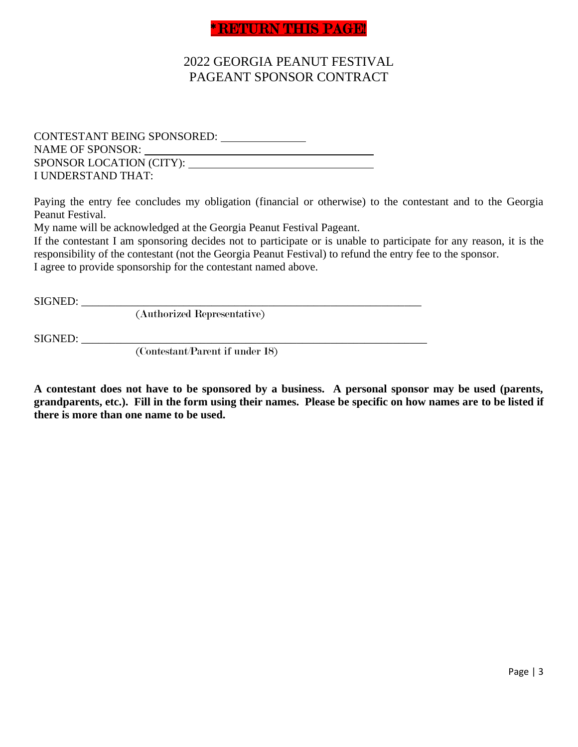### **RETURN THIS PAGE!**

## 2022 GEORGIA PEANUT FESTIVAL PAGEANT SPONSOR CONTRACT

CONTESTANT BEING SPONSORED: NAME OF SPONSOR: SPONSOR LOCATION (CITY): I UNDERSTAND THAT:

Paying the entry fee concludes my obligation (financial or otherwise) to the contestant and to the Georgia Peanut Festival.

My name will be acknowledged at the Georgia Peanut Festival Pageant.

If the contestant I am sponsoring decides not to participate or is unable to participate for any reason, it is the responsibility of the contestant (not the Georgia Peanut Festival) to refund the entry fee to the sponsor. I agree to provide sponsorship for the contestant named above.

SIGNED: \_\_\_\_\_\_\_\_\_\_\_\_\_\_\_\_\_\_\_\_\_\_\_\_\_\_\_\_\_\_\_\_\_\_\_\_\_\_\_\_\_\_\_\_\_\_\_\_\_\_\_\_\_\_\_\_\_\_\_\_

(Authorized Representative)

SIGNED: \_\_\_\_\_\_\_\_\_\_\_\_\_\_\_\_\_\_\_\_\_\_\_\_\_\_\_\_\_\_\_\_\_\_\_\_\_\_\_\_\_\_\_\_\_\_\_\_\_\_\_\_\_\_\_\_\_\_\_\_\_

(Contestant/Parent if under 18)

**A contestant does not have to be sponsored by a business. A personal sponsor may be used (parents, grandparents, etc.). Fill in the form using their names. Please be specific on how names are to be listed if there is more than one name to be used.**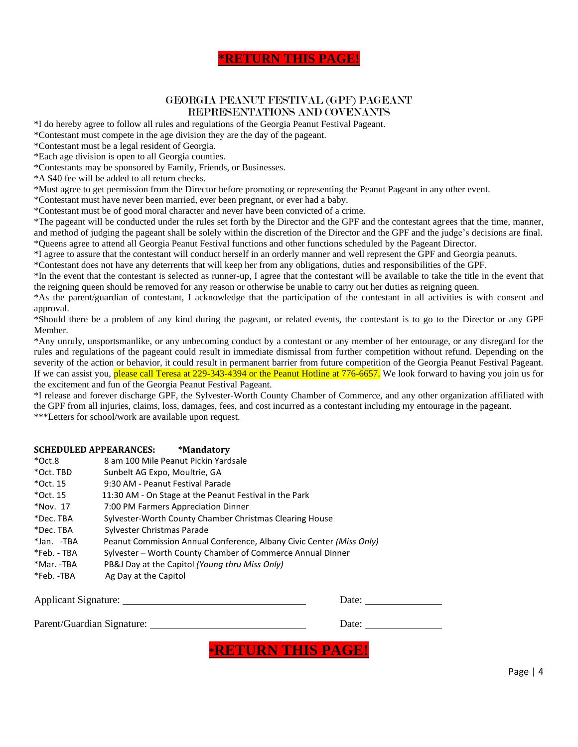#### **\*RETURN THIS PAGE!**

#### GEORGIA PEANUT FESTIVAL (GPF) PAGEANT REPRESENTATIONS AND COVENANTS

\*I do hereby agree to follow all rules and regulations of the Georgia Peanut Festival Pageant.

\*Contestant must compete in the age division they are the day of the pageant.

\*Contestant must be a legal resident of Georgia.

\*Each age division is open to all Georgia counties.

\*Contestants may be sponsored by Family, Friends, or Businesses.

\*A \$40 fee will be added to all return checks.

\*Must agree to get permission from the Director before promoting or representing the Peanut Pageant in any other event.

\*Contestant must have never been married, ever been pregnant, or ever had a baby.

\*Contestant must be of good moral character and never have been convicted of a crime.

\*The pageant will be conducted under the rules set forth by the Director and the GPF and the contestant agrees that the time, manner, and method of judging the pageant shall be solely within the discretion of the Director and the GPF and the judge's decisions are final. \*Queens agree to attend all Georgia Peanut Festival functions and other functions scheduled by the Pageant Director.

\*I agree to assure that the contestant will conduct herself in an orderly manner and well represent the GPF and Georgia peanuts.

\*Contestant does not have any deterrents that will keep her from any obligations, duties and responsibilities of the GPF.

\*In the event that the contestant is selected as runner-up, I agree that the contestant will be available to take the title in the event that the reigning queen should be removed for any reason or otherwise be unable to carry out her duties as reigning queen.

\*As the parent/guardian of contestant, I acknowledge that the participation of the contestant in all activities is with consent and approval.

\*Should there be a problem of any kind during the pageant, or related events, the contestant is to go to the Director or any GPF Member.

\*Any unruly, unsportsmanlike, or any unbecoming conduct by a contestant or any member of her entourage, or any disregard for the rules and regulations of the pageant could result in immediate dismissal from further competition without refund. Depending on the severity of the action or behavior, it could result in permanent barrier from future competition of the Georgia Peanut Festival Pageant. If we can assist you, please call Teresa at 229-343-4394 or the Peanut Hotline at 776-6657. We look forward to having you join us for the excitement and fun of the Georgia Peanut Festival Pageant.

\*I release and forever discharge GPF, the Sylvester-Worth County Chamber of Commerce, and any other organization affiliated with the GPF from all injuries, claims, loss, damages, fees, and cost incurred as a contestant including my entourage in the pageant. \*\*\*Letters for school/work are available upon request.

#### **SCHEDULED APPEARANCES: \*Mandatory**

| $*$ Oct.8   | 8 am 100 Mile Peanut Pickin Yardsale                                 |
|-------------|----------------------------------------------------------------------|
| *Oct. TBD   | Sunbelt AG Expo, Moultrie, GA                                        |
| $*$ Oct. 15 | 9:30 AM - Peanut Festival Parade                                     |
| $*$ Oct. 15 | 11:30 AM - On Stage at the Peanut Festival in the Park               |
| *Nov. 17    | 7:00 PM Farmers Appreciation Dinner                                  |
| *Dec. TBA   | Sylvester-Worth County Chamber Christmas Clearing House              |
| *Dec. TBA   | Sylvester Christmas Parade                                           |
| *Jan. -TBA  | Peanut Commission Annual Conference, Albany Civic Center (Miss Only) |
| *Feb. - TBA | Sylvester – Worth County Chamber of Commerce Annual Dinner           |
| *Mar. -TBA  | PB&J Day at the Capitol (Young thru Miss Only)                       |
| *Feb. -TBA  | Ag Day at the Capitol                                                |
|             |                                                                      |

Applicant Signature: Date: Date: Date:

Parent/Guardian Signature:

| Date: |  |
|-------|--|
|       |  |

**\*RETURN THIS PAGE!**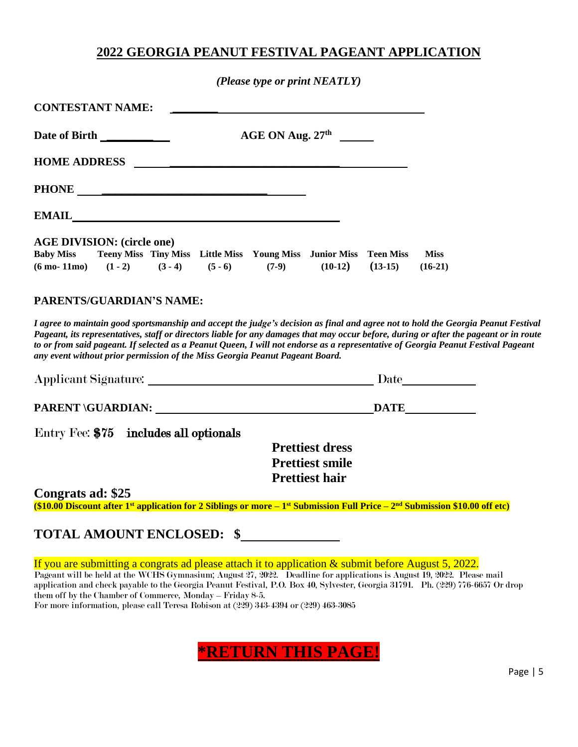### **2022 GEORGIA PEANUT FESTIVAL PAGEANT APPLICATION**

*(Please type or print NEATLY)*

| <b>CONTESTANT NAME:</b>                                                                                                                                                                                                                                                                                                                                                                                                                                                                          |                                                    |
|--------------------------------------------------------------------------------------------------------------------------------------------------------------------------------------------------------------------------------------------------------------------------------------------------------------------------------------------------------------------------------------------------------------------------------------------------------------------------------------------------|----------------------------------------------------|
| AGE ON Aug. 27 <sup>th</sup><br>Date of Birth _________                                                                                                                                                                                                                                                                                                                                                                                                                                          |                                                    |
|                                                                                                                                                                                                                                                                                                                                                                                                                                                                                                  |                                                    |
|                                                                                                                                                                                                                                                                                                                                                                                                                                                                                                  |                                                    |
| EMAIL                                                                                                                                                                                                                                                                                                                                                                                                                                                                                            |                                                    |
| <b>AGE DIVISION: (circle one)</b><br>Teeny Miss Tiny Miss Little Miss Young Miss Junior Miss Teen Miss<br><b>Baby Miss</b><br>$(6 \text{ mo} - 11 \text{mo})$ $(1 - 2)$ $(3 - 4)$<br>$(5 - 6)$<br>$(7-9)$                                                                                                                                                                                                                                                                                        | <b>Miss</b><br>$(10-12)$<br>$(13-15)$<br>$(16-21)$ |
| PARENTS/GUARDIAN'S NAME:                                                                                                                                                                                                                                                                                                                                                                                                                                                                         |                                                    |
| I agree to maintain good sportsmanship and accept the judge's decision as final and agree not to hold the Georgia Peanut Festival<br>Pageant, its representatives, staff or directors liable for any damages that may occur before, during or after the pageant or in route<br>to or from said pageant. If selected as a Peanut Queen, I will not endorse as a representative of Georgia Peanut Festival Pageant<br>any event without prior permission of the Miss Georgia Peanut Pageant Board. |                                                    |
| Applicant Signature: National Communication of September 2014                                                                                                                                                                                                                                                                                                                                                                                                                                    |                                                    |
|                                                                                                                                                                                                                                                                                                                                                                                                                                                                                                  |                                                    |
| Entry Fee: \$75 includes all optionals                                                                                                                                                                                                                                                                                                                                                                                                                                                           |                                                    |
|                                                                                                                                                                                                                                                                                                                                                                                                                                                                                                  | <b>Prettiest dress</b>                             |
|                                                                                                                                                                                                                                                                                                                                                                                                                                                                                                  | <b>Prettiest smile</b>                             |
|                                                                                                                                                                                                                                                                                                                                                                                                                                                                                                  | <b>Prettiest hair</b>                              |
| Congrats ad: \$25<br>(\$10.00 Discount after 1 <sup>st</sup> application for 2 Siblings or more $-1$ <sup>st</sup> Submission Full Price $-2nd$ Submission \$10.00 off etc)                                                                                                                                                                                                                                                                                                                      |                                                    |
| <b>TOTAL AMOUNT ENCLOSED: \$</b>                                                                                                                                                                                                                                                                                                                                                                                                                                                                 |                                                    |
|                                                                                                                                                                                                                                                                                                                                                                                                                                                                                                  |                                                    |
| If you are submitting a congrats ad please attach it to application $\&$ submit before August 5, 2022.<br>Pageant will be held at the WCHS Gymnasium; August 27, 2022. Deadline for applications is August 19, 2022. Please mail<br>application and check payable to the Georgia Peanut Festival, P.O. Box 40, Sylvester, Georgia 31791. Ph. (229) 776-6657 Or drop<br>them off by the Chamber of Commerce, Monday - Friday 8-5.                                                                 |                                                    |

For more information, please call Teresa Robison at (229) 343-4394 or (229) 463-3085

## **\*RETURN THIS PAGE!**